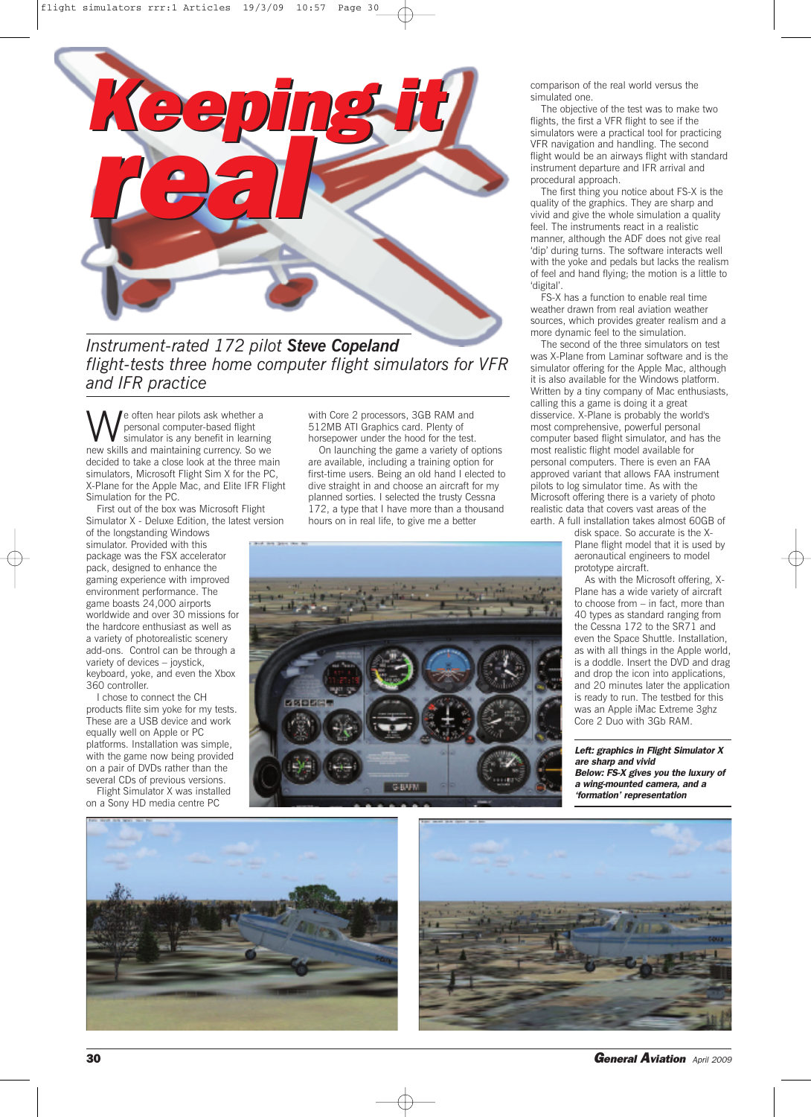

*Instrument-rated 172 pilot Steve Copeland flight-tests three home computer flight simulators for VFR and IFR practice*

We often hear pilots ask whether a<br>simulator is any benefit in learning<br>new skills and maintaining currency. So w personal computer-based flight simulator is any benefit in learning new skills and maintaining currency. So we decided to take a close look at the three main simulators, Microsoft Flight Sim X for the PC, X-Plane for the Apple Mac, and Elite IFR Flight Simulation for the PC.

First out of the box was Microsoft Flight Simulator X - Deluxe Edition, the latest version

of the longstanding Windows simulator. Provided with this package was the FSX accelerator pack, designed to enhance the gaming experience with improved environment performance. The game boasts 24,000 airports worldwide and over 30 missions for the hardcore enthusiast as well as a variety of photorealistic scenery add-ons. Control can be through a variety of devices – joystick, keyboard, yoke, and even the Xbox 360 controller.

I chose to connect the CH products flite sim yoke for my tests. These are a USB device and work equally well on Apple or PC platforms. Installation was simple, with the game now being provided on a pair of DVDs rather than the several CDs of previous versions.

Flight Simulator X was installed on a Sony HD media centre PC

with Core 2 processors, 3GB RAM and 512MB ATI Graphics card. Plenty of horsepower under the hood for the test.

On launching the game a variety of options are available, including a training option for first-time users. Being an old hand I elected to dive straight in and choose an aircraft for my planned sorties. I selected the trusty Cessna 172, a type that I have more than a thousand hours on in real life, to give me a better



comparison of the real world versus the simulated one.

The objective of the test was to make two flights, the first a VFR flight to see if the simulators were a practical tool for practicing VFR navigation and handling. The second flight would be an airways flight with standard instrument departure and IFR arrival and procedural approach.

The first thing you notice about FS-X is the quality of the graphics. They are sharp and vivid and give the whole simulation a quality feel. The instruments react in a realistic manner, although the ADF does not give real 'dip' during turns. The software interacts well with the yoke and pedals but lacks the realism of feel and hand flying; the motion is a little to 'digital'.

FS-X has a function to enable real time weather drawn from real aviation weather sources, which provides greater realism and a more dynamic feel to the simulation.

The second of the three simulators on test was X-Plane from Laminar software and is the simulator offering for the Apple Mac, although it is also available for the Windows platform. Written by a tiny company of Mac enthusiasts, calling this a game is doing it a great disservice. X-Plane is probably the world's most comprehensive, powerful personal computer based flight simulator, and has the most realistic flight model available for personal computers. There is even an FAA approved variant that allows FAA instrument pilots to log simulator time. As with the Microsoft offering there is a variety of photo realistic data that covers vast areas of the earth. A full installation takes almost 60GB of

disk space. So accurate is the X-Plane flight model that it is used by aeronautical engineers to model prototype aircraft.

As with the Microsoft offering, X-Plane has a wide variety of aircraft to choose from – in fact, more than 40 types as standard ranging from the Cessna 172 to the SR71 and even the Space Shuttle. Installation, as with all things in the Apple world, is a doddle. Insert the DVD and drag and drop the icon into applications, and 20 minutes later the application is ready to run. The testbed for this was an Apple iMac Extreme 3ghz Core 2 Duo with 3Gb RAM.

*Left: graphics in Flight Simulator X are sharp and vivid Below: FS-X gives you the luxury of a wing-mounted camera, and a 'formation' representation*





**30** *General Aviation April <sup>2009</sup>*